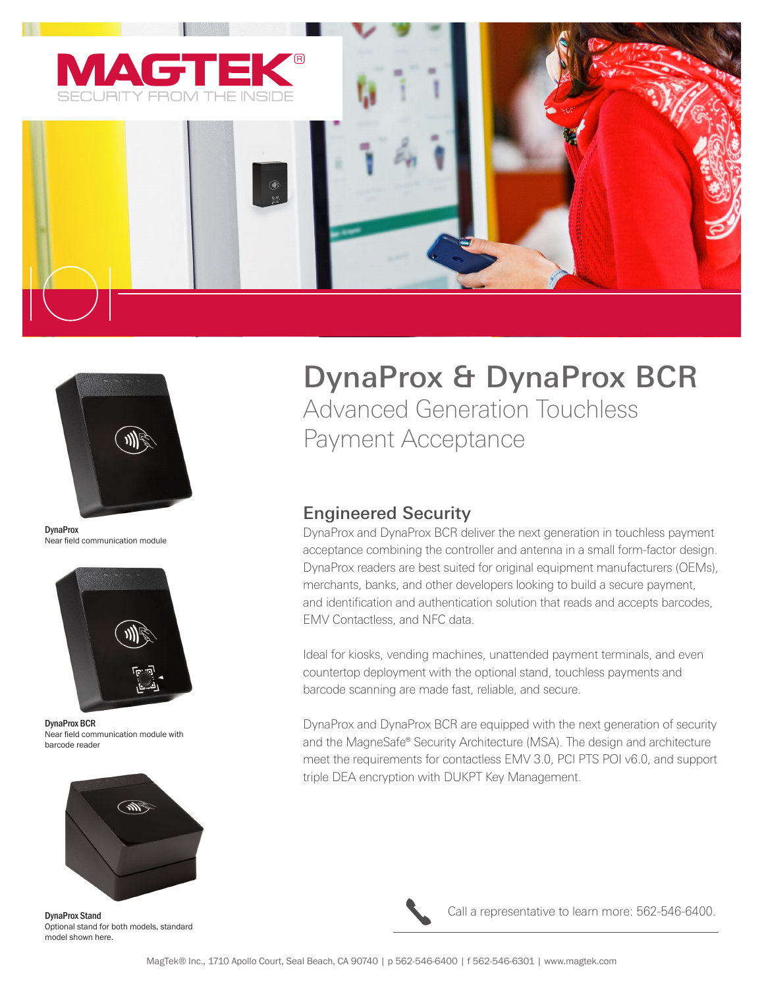



**DynaProx** Near field communication module



DynaProx BCR Near field communication module with barcode reader



DynaProx Stand Optional stand for both models, standard model shown here.

# DynaProx & DynaProx BCR

Advanced Generation Touchless Payment Acceptance

## Engineered Security

DynaProx and DynaProx BCR deliver the next generation in touchless payment acceptance combining the controller and antenna in a small form-factor design. DynaProx readers are best suited for original equipment manufacturers (OEMs), merchants, banks, and other developers looking to build a secure payment, and identification and authentication solution that reads and accepts barcodes, EMV Contactless, and NFC data.

Ideal for kiosks, vending machines, unattended payment terminals, and even countertop deployment with the optional stand, touchless payments and barcode scanning are made fast, reliable, and secure.

DynaProx and DynaProx BCR are equipped with the next generation of security and the MagneSafe® Security Architecture (MSA). The design and architecture meet the requirements for contactless EMV 3.0, PCI PTS POI v6.0, and support triple DEA encryption with DUKPT Key Management.



Call a representative to learn more: 562-546-6400.